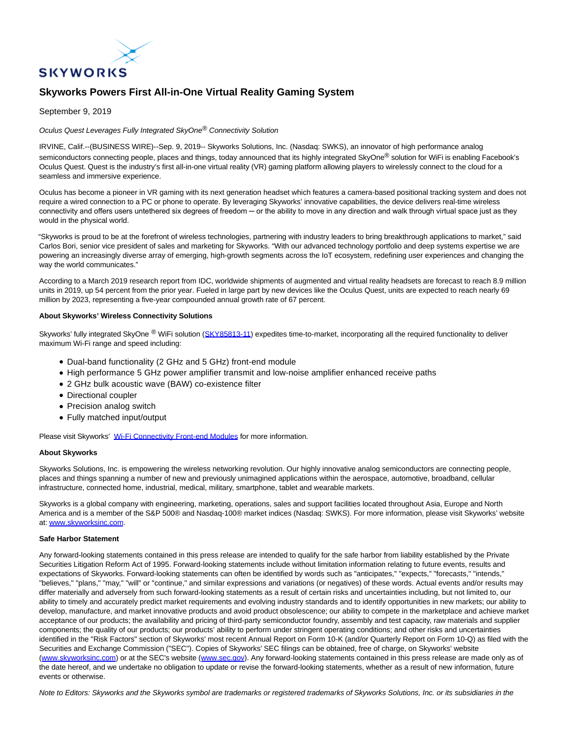

# **Skyworks Powers First All-in-One Virtual Reality Gaming System**

### September 9, 2019

Oculus Quest Leverages Fully Integrated SkyOne® Connectivity Solution

IRVINE, Calif.--(BUSINESS WIRE)--Sep. 9, 2019-- Skyworks Solutions, Inc. (Nasdaq: SWKS), an innovator of high performance analog semiconductors connecting people, places and things, today announced that its highly integrated SkyOne® solution for WiFi is enabling Facebook's Oculus Quest. Quest is the industry's first all-in-one virtual reality (VR) gaming platform allowing players to wirelessly connect to the cloud for a seamless and immersive experience.

Oculus has become a pioneer in VR gaming with its next generation headset which features a camera-based positional tracking system and does not require a wired connection to a PC or phone to operate. By leveraging Skyworks' innovative capabilities, the device delivers real-time wireless connectivity and offers users untethered six degrees of freedom — or the ability to move in any direction and walk through virtual space just as they would in the physical world.

"Skyworks is proud to be at the forefront of wireless technologies, partnering with industry leaders to bring breakthrough applications to market," said Carlos Bori, senior vice president of sales and marketing for Skyworks. "With our advanced technology portfolio and deep systems expertise we are powering an increasingly diverse array of emerging, high-growth segments across the IoT ecosystem, redefining user experiences and changing the way the world communicates."

According to a March 2019 research report from IDC, worldwide shipments of augmented and virtual reality headsets are forecast to reach 8.9 million units in 2019, up 54 percent from the prior year. Fueled in large part by new devices like the Oculus Quest, units are expected to reach nearly 69 million by 2023, representing a five-year compounded annual growth rate of 67 percent.

### **About Skyworks' Wireless Connectivity Solutions**

Skyworks' fully integrated SkyOne ® WiFi solution [\(SKY85813-11\)](https://cts.businesswire.com/ct/CT?id=smartlink&url=http%3A%2F%2Fwww.skyworksinc.com%2FProduct%2F4146%2FSKY85813-11&esheet=52089692&newsitemid=20190909005173&lan=en-US&anchor=SKY85813-11&index=1&md5=f200247cca416cec96b26b5d73be641d) expedites time-to-market, incorporating all the required functionality to deliver maximum Wi-Fi range and speed including:

- Dual-band functionality (2 GHz and 5 GHz) front-end module
- High performance 5 GHz power amplifier transmit and low-noise amplifier enhanced receive paths
- 2 GHz bulk acoustic wave (BAW) co-existence filter
- Directional coupler
- Precision analog switch
- Fully matched input/output

Please visit Skyworks' [Wi-Fi Connectivity Front-end Modules f](https://cts.businesswire.com/ct/CT?id=smartlink&url=http%3A%2F%2Fwww.skyworksinc.com%2FProducts%2F621%2FDual-Band_Front-end_Modules_for_Wi-Fi_Connectivity&esheet=52089692&newsitemid=20190909005173&lan=en-US&anchor=Wi-Fi+Connectivity+Front-end+Modules&index=2&md5=819c83171f86921c616ebd68ec8951f5)or more information.

## **About Skyworks**

Skyworks Solutions, Inc. is empowering the wireless networking revolution. Our highly innovative analog semiconductors are connecting people, places and things spanning a number of new and previously unimagined applications within the aerospace, automotive, broadband, cellular infrastructure, connected home, industrial, medical, military, smartphone, tablet and wearable markets.

Skyworks is a global company with engineering, marketing, operations, sales and support facilities located throughout Asia, Europe and North America and is a member of the S&P 500® and Nasdaq-100® market indices (Nasdaq: SWKS). For more information, please visit Skyworks' website at: [www.skyworksinc.com.](https://cts.businesswire.com/ct/CT?id=smartlink&url=http%3A%2F%2Fwww.skyworksinc.com&esheet=52089692&newsitemid=20190909005173&lan=en-US&anchor=www.skyworksinc.com&index=3&md5=24f8fc8a9b5e8151c437e60155e52cdb)

### **Safe Harbor Statement**

Any forward-looking statements contained in this press release are intended to qualify for the safe harbor from liability established by the Private Securities Litigation Reform Act of 1995. Forward-looking statements include without limitation information relating to future events, results and expectations of Skyworks. Forward-looking statements can often be identified by words such as "anticipates," "expects," "forecasts," "intends," "believes," "plans," "may," "will" or "continue," and similar expressions and variations (or negatives) of these words. Actual events and/or results may differ materially and adversely from such forward-looking statements as a result of certain risks and uncertainties including, but not limited to, our ability to timely and accurately predict market requirements and evolving industry standards and to identify opportunities in new markets; our ability to develop, manufacture, and market innovative products and avoid product obsolescence; our ability to compete in the marketplace and achieve market acceptance of our products; the availability and pricing of third-party semiconductor foundry, assembly and test capacity, raw materials and supplier components; the quality of our products; our products' ability to perform under stringent operating conditions; and other risks and uncertainties identified in the "Risk Factors" section of Skyworks' most recent Annual Report on Form 10-K (and/or Quarterly Report on Form 10-Q) as filed with the Securities and Exchange Commission ("SEC"). Copies of Skyworks' SEC filings can be obtained, free of charge, on Skyworks' website [\(www.skyworksinc.com\)](https://cts.businesswire.com/ct/CT?id=smartlink&url=http%3A%2F%2Fwww.skyworksinc.com%2F&esheet=52089692&newsitemid=20190909005173&lan=en-US&anchor=www.skyworksinc.com&index=4&md5=0dc2a04ad6096ad2692f280533e3e2c4) or at the SEC's website [\(www.sec.gov\).](https://cts.businesswire.com/ct/CT?id=smartlink&url=http%3A%2F%2Fwww.sec.gov%2F&esheet=52089692&newsitemid=20190909005173&lan=en-US&anchor=www.sec.gov&index=5&md5=7aed06ffa604b22e0ca4b486b02a3568) Any forward-looking statements contained in this press release are made only as of the date hereof, and we undertake no obligation to update or revise the forward-looking statements, whether as a result of new information, future events or otherwise.

Note to Editors: Skyworks and the Skyworks symbol are trademarks or registered trademarks of Skyworks Solutions, Inc. or its subsidiaries in the